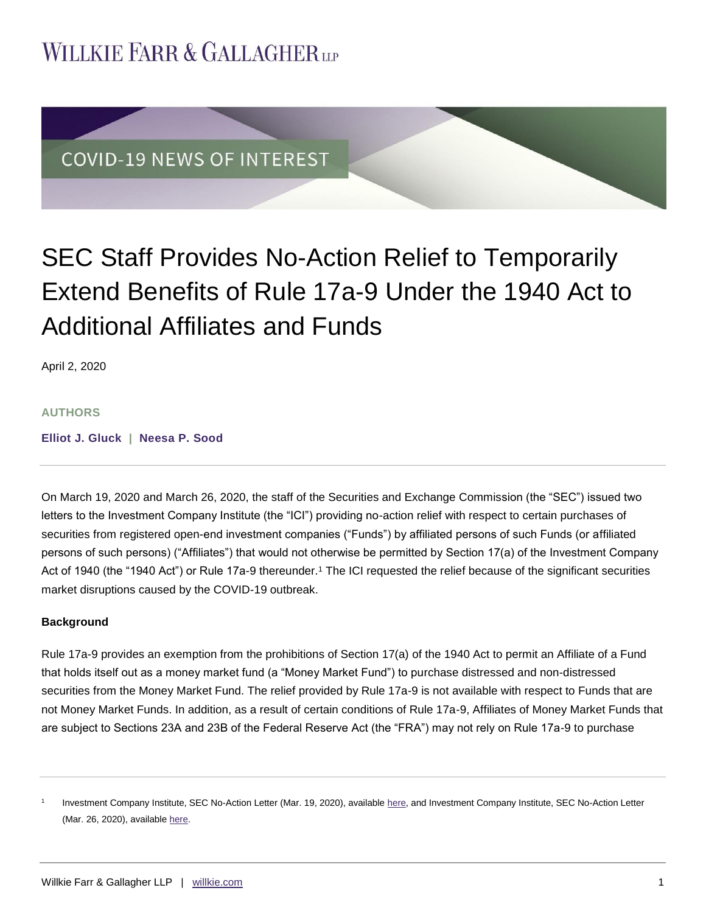## **WILLKIE FARR & GALLAGHERUP**



# SEC Staff Provides No-Action Relief to Temporarily Extend Benefits of Rule 17a-9 Under the 1940 Act to Additional Affiliates and Funds

April 2, 2020

#### **AUTHORS**

**[Elliot J. Gluck](https://www.willkie.com/professionals/g/gluck-elliot-j) | [Neesa P. Sood](https://www.willkie.com/professionals/s/sood-neesa)**

On March 19, 2020 and March 26, 2020, the staff of the Securities and Exchange Commission (the "SEC") issued two letters to the Investment Company Institute (the "ICI") providing no-action relief with respect to certain purchases of securities from registered open-end investment companies ("Funds") by affiliated persons of such Funds (or affiliated persons of such persons) ("Affiliates") that would not otherwise be permitted by Section 17(a) of the Investment Company Act of 1940 (the "1940 Act") or Rule 17a-9 thereunder.<sup>1</sup> The ICI requested the relief because of the significant securities market disruptions caused by the COVID-19 outbreak.

#### **Background**

Rule 17a-9 provides an exemption from the prohibitions of Section 17(a) of the 1940 Act to permit an Affiliate of a Fund that holds itself out as a money market fund (a "Money Market Fund") to purchase distressed and non-distressed securities from the Money Market Fund. The relief provided by Rule 17a-9 is not available with respect to Funds that are not Money Market Funds. In addition, as a result of certain conditions of Rule 17a-9, Affiliates of Money Market Funds that are subject to Sections 23A and 23B of the Federal Reserve Act (the "FRA") may not rely on Rule 17a-9 to purchase

<sup>1</sup> Investment Company Institute, SEC No-Action Letter (Mar. 19, 2020), available [here,](https://www.sec.gov/investment/investment-company-institute-031920-17a) and Investment Company Institute, SEC No-Action Letter (Mar. 26, 2020), available [here.](https://www.sec.gov/investment/investment-company-institute-032620-17a)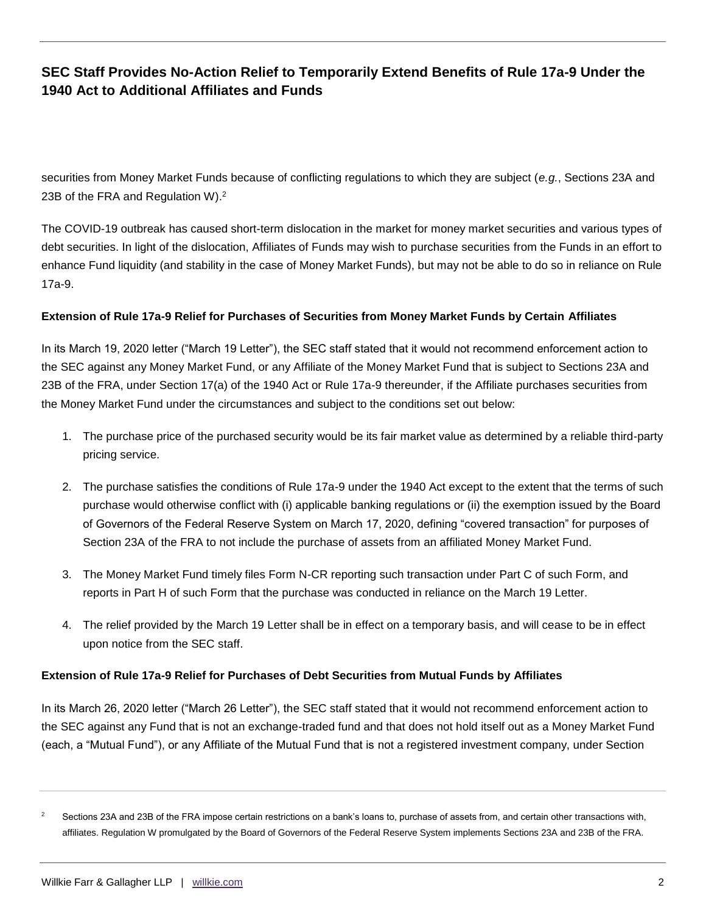## **SEC Staff Provides No-Action Relief to Temporarily Extend Benefits of Rule 17a-9 Under the 1940 Act to Additional Affiliates and Funds**

securities from Money Market Funds because of conflicting regulations to which they are subject (*e.g.*, Sections 23A and 23B of the FRA and Regulation W).<sup>2</sup>

The COVID-19 outbreak has caused short-term dislocation in the market for money market securities and various types of debt securities. In light of the dislocation, Affiliates of Funds may wish to purchase securities from the Funds in an effort to enhance Fund liquidity (and stability in the case of Money Market Funds), but may not be able to do so in reliance on Rule 17a-9.

#### **Extension of Rule 17a-9 Relief for Purchases of Securities from Money Market Funds by Certain Affiliates**

In its March 19, 2020 letter ("March 19 Letter"), the SEC staff stated that it would not recommend enforcement action to the SEC against any Money Market Fund, or any Affiliate of the Money Market Fund that is subject to Sections 23A and 23B of the FRA, under Section 17(a) of the 1940 Act or Rule 17a-9 thereunder, if the Affiliate purchases securities from the Money Market Fund under the circumstances and subject to the conditions set out below:

- 1. The purchase price of the purchased security would be its fair market value as determined by a reliable third-party pricing service.
- 2. The purchase satisfies the conditions of Rule 17a-9 under the 1940 Act except to the extent that the terms of such purchase would otherwise conflict with (i) applicable banking regulations or (ii) the exemption issued by the Board of Governors of the Federal Reserve System on March 17, 2020, defining "covered transaction" for purposes of Section 23A of the FRA to not include the purchase of assets from an affiliated Money Market Fund.
- 3. The Money Market Fund timely files Form N-CR reporting such transaction under Part C of such Form, and reports in Part H of such Form that the purchase was conducted in reliance on the March 19 Letter.
- 4. The relief provided by the March 19 Letter shall be in effect on a temporary basis, and will cease to be in effect upon notice from the SEC staff.

### **Extension of Rule 17a-9 Relief for Purchases of Debt Securities from Mutual Funds by Affiliates**

In its March 26, 2020 letter ("March 26 Letter"), the SEC staff stated that it would not recommend enforcement action to the SEC against any Fund that is not an exchange-traded fund and that does not hold itself out as a Money Market Fund (each, a "Mutual Fund"), or any Affiliate of the Mutual Fund that is not a registered investment company, under Section

<sup>2</sup> Sections 23A and 23B of the FRA impose certain restrictions on a bank's loans to, purchase of assets from, and certain other transactions with, affiliates. Regulation W promulgated by the Board of Governors of the Federal Reserve System implements Sections 23A and 23B of the FRA.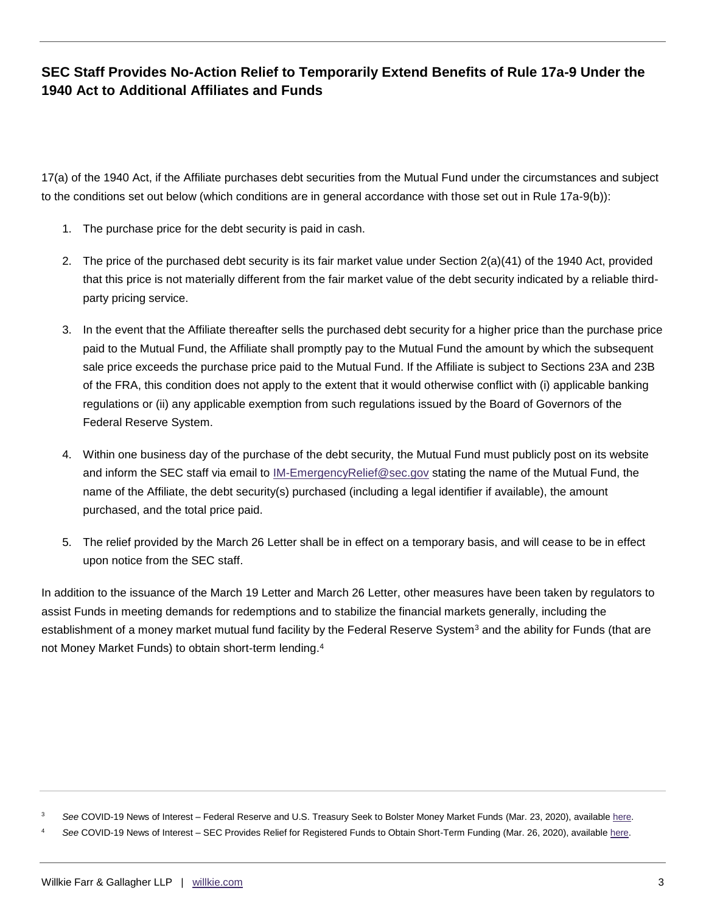## **SEC Staff Provides No-Action Relief to Temporarily Extend Benefits of Rule 17a-9 Under the 1940 Act to Additional Affiliates and Funds**

17(a) of the 1940 Act, if the Affiliate purchases debt securities from the Mutual Fund under the circumstances and subject to the conditions set out below (which conditions are in general accordance with those set out in Rule 17a-9(b)):

- 1. The purchase price for the debt security is paid in cash.
- 2. The price of the purchased debt security is its fair market value under Section 2(a)(41) of the 1940 Act, provided that this price is not materially different from the fair market value of the debt security indicated by a reliable thirdparty pricing service.
- 3. In the event that the Affiliate thereafter sells the purchased debt security for a higher price than the purchase price paid to the Mutual Fund, the Affiliate shall promptly pay to the Mutual Fund the amount by which the subsequent sale price exceeds the purchase price paid to the Mutual Fund. If the Affiliate is subject to Sections 23A and 23B of the FRA, this condition does not apply to the extent that it would otherwise conflict with (i) applicable banking regulations or (ii) any applicable exemption from such regulations issued by the Board of Governors of the Federal Reserve System.
- 4. Within one business day of the purchase of the debt security, the Mutual Fund must publicly post on its website and inform the SEC staff via email to [IM-EmergencyRelief@sec.gov](mailto:IMEmergencyRelief@sec.gov) stating the name of the Mutual Fund, the name of the Affiliate, the debt security(s) purchased (including a legal identifier if available), the amount purchased, and the total price paid.
- 5. The relief provided by the March 26 Letter shall be in effect on a temporary basis, and will cease to be in effect upon notice from the SEC staff.

In addition to the issuance of the March 19 Letter and March 26 Letter, other measures have been taken by regulators to assist Funds in meeting demands for redemptions and to stabilize the financial markets generally, including the establishment of a money market mutual fund facility by the Federal Reserve System<sup>3</sup> and the ability for Funds (that are not Money Market Funds) to obtain short-term lending.<sup>4</sup>

See COVID-19 News of Interest - Federal Reserve and U.S. Treasury Seek to Bolster Money Market Funds (Mar. 23, 2020), availabl[e here.](https://www.willkie.com/-/media/files/publications/2020/03/federalreserveandustreasuryseektobolstermoneymarke.pdf)

See COVID-19 News of Interest - SEC Provides Relief for Registered Funds to Obtain Short-Term Funding (Mar. 26, 2020), availabl[e here.](https://www.willkie.com/-/media/files/publications/2020/03/sec_provides_relief_for_registered_funds_to_obtain.pdf)